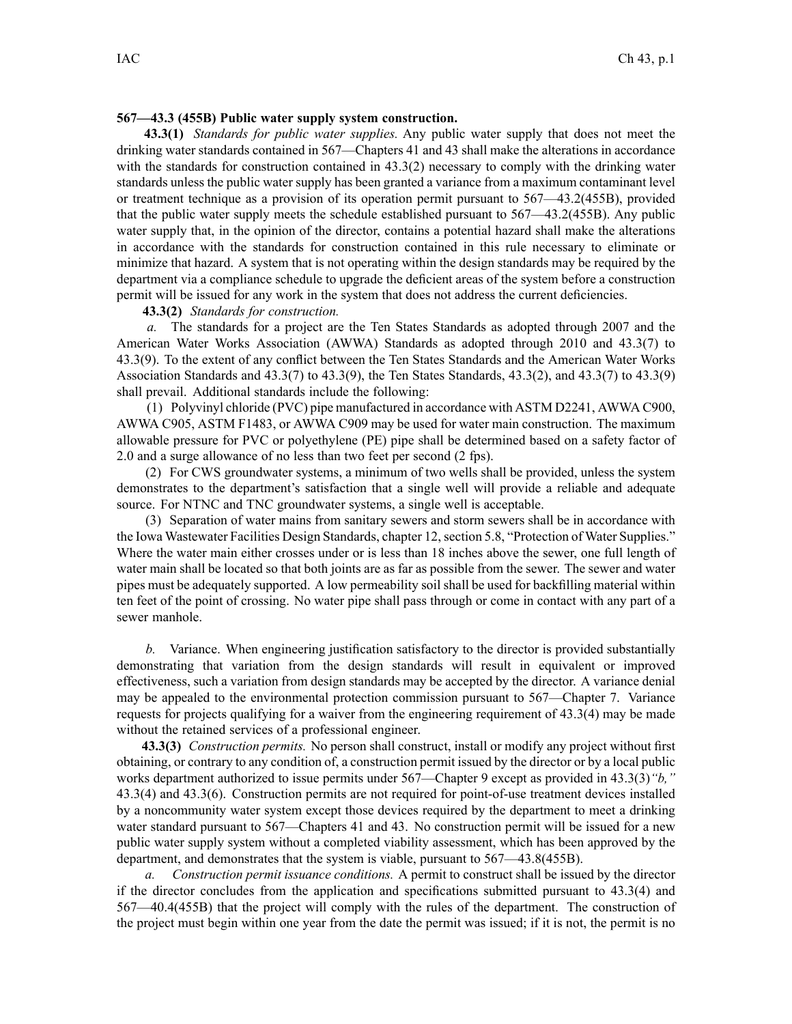### **567—43.3 (455B) Public water supply system construction.**

**43.3(1)** *Standards for public water supplies.* Any public water supply that does not meet the drinking water standards contained in 567—Chapters 41 and 43 shall make the alterations in accordance with the standards for construction contained in 43.3(2) necessary to comply with the drinking water standards unless the public water supply has been granted <sup>a</sup> variance from <sup>a</sup> maximum contaminant level or treatment technique as <sup>a</sup> provision of its operation permit pursuan<sup>t</sup> to 567—43.2(455B), provided that the public water supply meets the schedule established pursuan<sup>t</sup> to 567—43.2(455B). Any public water supply that, in the opinion of the director, contains <sup>a</sup> potential hazard shall make the alterations in accordance with the standards for construction contained in this rule necessary to eliminate or minimize that hazard. A system that is not operating within the design standards may be required by the department via <sup>a</sup> compliance schedule to upgrade the deficient areas of the system before <sup>a</sup> construction permit will be issued for any work in the system that does not address the current deficiencies.

## **43.3(2)** *Standards for construction.*

*a.* The standards for <sup>a</sup> project are the Ten States Standards as adopted through 2007 and the American Water Works Association (AWWA) Standards as adopted through 2010 and 43.3(7) to 43.3(9). To the extent of any conflict between the Ten States Standards and the American Water Works Association Standards and 43.3(7) to 43.3(9), the Ten States Standards, 43.3(2), and 43.3(7) to 43.3(9) shall prevail. Additional standards include the following:

(1) Polyvinyl chloride (PVC) pipe manufactured in accordance with ASTM D2241, AWWA C900, AWWA C905, ASTM F1483, or AWWA C909 may be used for water main construction. The maximum allowable pressure for PVC or polyethylene (PE) pipe shall be determined based on <sup>a</sup> safety factor of 2.0 and <sup>a</sup> surge allowance of no less than two feet per second (2 fps).

(2) For CWS groundwater systems, <sup>a</sup> minimum of two wells shall be provided, unless the system demonstrates to the department's satisfaction that <sup>a</sup> single well will provide <sup>a</sup> reliable and adequate source. For NTNC and TNC groundwater systems, <sup>a</sup> single well is acceptable.

(3) Separation of water mains from sanitary sewers and storm sewers shall be in accordance with the Iowa Wastewater Facilities Design Standards, chapter 12, section 5.8, "Protection of Water Supplies." Where the water main either crosses under or is less than 18 inches above the sewer, one full length of water main shall be located so that both joints are as far as possible from the sewer. The sewer and water pipes must be adequately supported. A low permeability soil shall be used for backfilling material within ten feet of the point of crossing. No water pipe shall pass through or come in contact with any par<sup>t</sup> of <sup>a</sup> sewer manhole.

*b.* Variance. When engineering justification satisfactory to the director is provided substantially demonstrating that variation from the design standards will result in equivalent or improved effectiveness, such <sup>a</sup> variation from design standards may be accepted by the director. A variance denial may be appealed to the environmental protection commission pursuan<sup>t</sup> to 567—Chapter 7. Variance requests for projects qualifying for <sup>a</sup> waiver from the engineering requirement of 43.3(4) may be made without the retained services of <sup>a</sup> professional engineer.

**43.3(3)** *Construction permits.* No person shall construct, install or modify any project without first obtaining, or contrary to any condition of, <sup>a</sup> construction permit issued by the director or by <sup>a</sup> local public works department authorized to issue permits under 567—Chapter 9 excep<sup>t</sup> as provided in 43.3(3)*"b,"* 43.3(4) and 43.3(6). Construction permits are not required for point-of-use treatment devices installed by <sup>a</sup> noncommunity water system excep<sup>t</sup> those devices required by the department to meet <sup>a</sup> drinking water standard pursuant to 567—Chapters 41 and 43. No construction permit will be issued for a new public water supply system without <sup>a</sup> completed viability assessment, which has been approved by the department, and demonstrates that the system is viable, pursuan<sup>t</sup> to 567—43.8(455B).

*a. Construction permit issuance conditions.* A permit to construct shall be issued by the director if the director concludes from the application and specifications submitted pursuan<sup>t</sup> to 43.3(4) and 567—40.4(455B) that the project will comply with the rules of the department. The construction of the project must begin within one year from the date the permit was issued; if it is not, the permit is no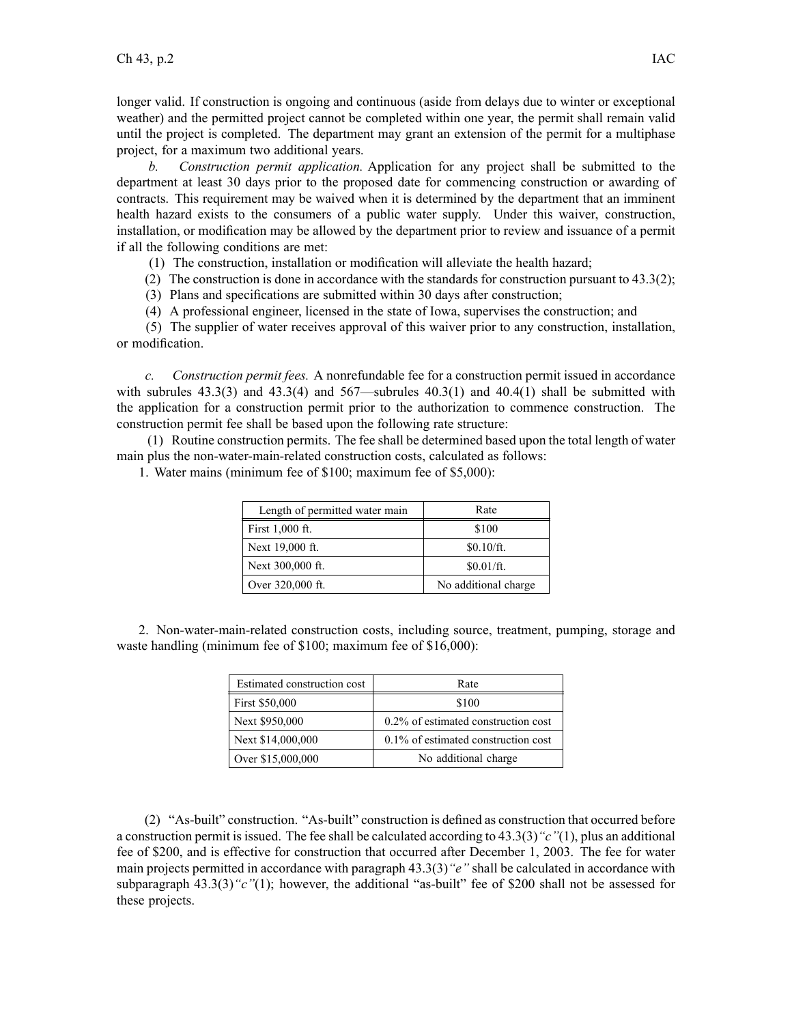longer valid. If construction is ongoing and continuous (aside from delays due to winter or exceptional weather) and the permitted project cannot be completed within one year, the permit shall remain valid until the project is completed. The department may gran<sup>t</sup> an extension of the permit for <sup>a</sup> multiphase project, for <sup>a</sup> maximum two additional years.

*b. Construction permit application.* Application for any project shall be submitted to the department at least 30 days prior to the proposed date for commencing construction or awarding of contracts. This requirement may be waived when it is determined by the department that an imminent health hazard exists to the consumers of <sup>a</sup> public water supply. Under this waiver, construction, installation, or modification may be allowed by the department prior to review and issuance of <sup>a</sup> permit if all the following conditions are met:

(1) The construction, installation or modification will alleviate the health hazard;

(2) The construction is done in accordance with the standards for construction pursuant to  $43.3(2)$ ;

(3) Plans and specifications are submitted within 30 days after construction;

(4) A professional engineer, licensed in the state of Iowa, supervises the construction; and

(5) The supplier of water receives approval of this waiver prior to any construction, installation, or modification.

*c. Construction permit fees.* A nonrefundable fee for <sup>a</sup> construction permit issued in accordance with subrules  $43.3(3)$  and  $43.3(4)$  and  $567$ —subrules  $40.3(1)$  and  $40.4(1)$  shall be submitted with the application for <sup>a</sup> construction permit prior to the authorization to commence construction. The construction permit fee shall be based upon the following rate structure:

(1) Routine construction permits. The fee shall be determined based upon the total length of water main plus the non-water-main-related construction costs, calculated as follows:

| Length of permitted water main | Rate                 |
|--------------------------------|----------------------|
| First 1,000 ft.                | \$100                |
| Next 19,000 ft.                | \$0.10/ft.           |
| Next 300,000 ft.               | \$0.01/ft.           |
| Over 320,000 ft.               | No additional charge |

1. Water mains (minimum fee of \$100; maximum fee of \$5,000):

2. Non-water-main-related construction costs, including source, treatment, pumping, storage and waste handling (minimum fee of \$100; maximum fee of \$16,000):

| Estimated construction cost | Rate                                   |
|-----------------------------|----------------------------------------|
| First \$50,000              | \$100                                  |
| Next \$950,000              | 0.2% of estimated construction cost    |
| Next \$14,000,000           | $0.1\%$ of estimated construction cost |
| Over \$15,000,000           | No additional charge                   |

(2) "As-built" construction. "As-built" construction is defined as construction that occurred before <sup>a</sup> construction permit isissued. The fee shall be calculated according to 43.3(3)*"c"*(1), plus an additional fee of \$200, and is effective for construction that occurred after December 1, 2003. The fee for water main projects permitted in accordance with paragraph 43.3(3)*"e"* shall be calculated in accordance with subparagraph 43.3(3)*"c"*(1); however, the additional "as-built" fee of \$200 shall not be assessed for these projects.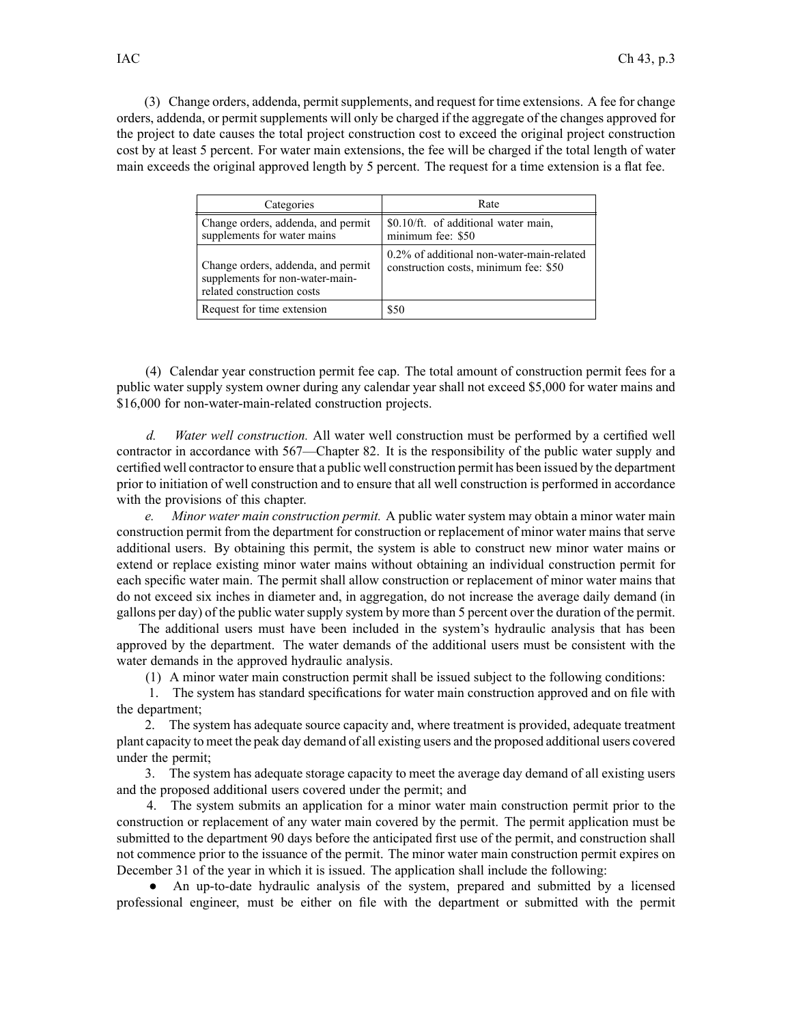(3) Change orders, addenda, permitsupplements, and reques<sup>t</sup> for time extensions. A fee for change orders, addenda, or permit supplements will only be charged if the aggregate of the changes approved for the project to date causes the total project construction cost to exceed the original project construction cost by at least 5 percent. For water main extensions, the fee will be charged if the total length of water main exceeds the original approved length by 5 percent. The reques<sup>t</sup> for <sup>a</sup> time extension is <sup>a</sup> flat fee.

| Categories                                                                                          | Rate                                                                               |
|-----------------------------------------------------------------------------------------------------|------------------------------------------------------------------------------------|
| Change orders, addenda, and permit<br>supplements for water mains                                   | \$0.10/ft. of additional water main,<br>minimum fee: \$50                          |
| Change orders, addenda, and permit<br>supplements for non-water-main-<br>related construction costs | 0.2% of additional non-water-main-related<br>construction costs, minimum fee: \$50 |
| Request for time extension                                                                          | \$50                                                                               |

(4) Calendar year construction permit fee cap. The total amount of construction permit fees for <sup>a</sup> public water supply system owner during any calendar year shall not exceed \$5,000 for water mains and \$16,000 for non-water-main-related construction projects.

*d. Water well construction.* All water well construction must be performed by <sup>a</sup> certified well contractor in accordance with 567—Chapter 82. It is the responsibility of the public water supply and certified well contractor to ensure that <sup>a</sup> public well construction permit has been issued by the department prior to initiation of well construction and to ensure that all well construction is performed in accordance with the provisions of this chapter.

*e. Minor water main construction permit.* A public water system may obtain <sup>a</sup> minor water main construction permit from the department for construction or replacement of minor water mains that serve additional users. By obtaining this permit, the system is able to construct new minor water mains or extend or replace existing minor water mains without obtaining an individual construction permit for each specific water main. The permit shall allow construction or replacement of minor water mains that do not exceed six inches in diameter and, in aggregation, do not increase the average daily demand (in gallons per day) of the public watersupply system by more than 5 percen<sup>t</sup> over the duration of the permit.

The additional users must have been included in the system's hydraulic analysis that has been approved by the department. The water demands of the additional users must be consistent with the water demands in the approved hydraulic analysis.

(1) A minor water main construction permit shall be issued subject to the following conditions:

1. The system has standard specifications for water main construction approved and on file with the department;

2. The system has adequate source capacity and, where treatment is provided, adequate treatment plant capacity to meet the peak day demand of all existing users and the proposed additional users covered under the permit;

3. The system has adequate storage capacity to meet the average day demand of all existing users and the proposed additional users covered under the permit; and

4. The system submits an application for <sup>a</sup> minor water main construction permit prior to the construction or replacement of any water main covered by the permit. The permit application must be submitted to the department 90 days before the anticipated first use of the permit, and construction shall not commence prior to the issuance of the permit. The minor water main construction permit expires on December 31 of the year in which it is issued. The application shall include the following:

● An up-to-date hydraulic analysis of the system, prepared and submitted by <sup>a</sup> licensed professional engineer, must be either on file with the department or submitted with the permit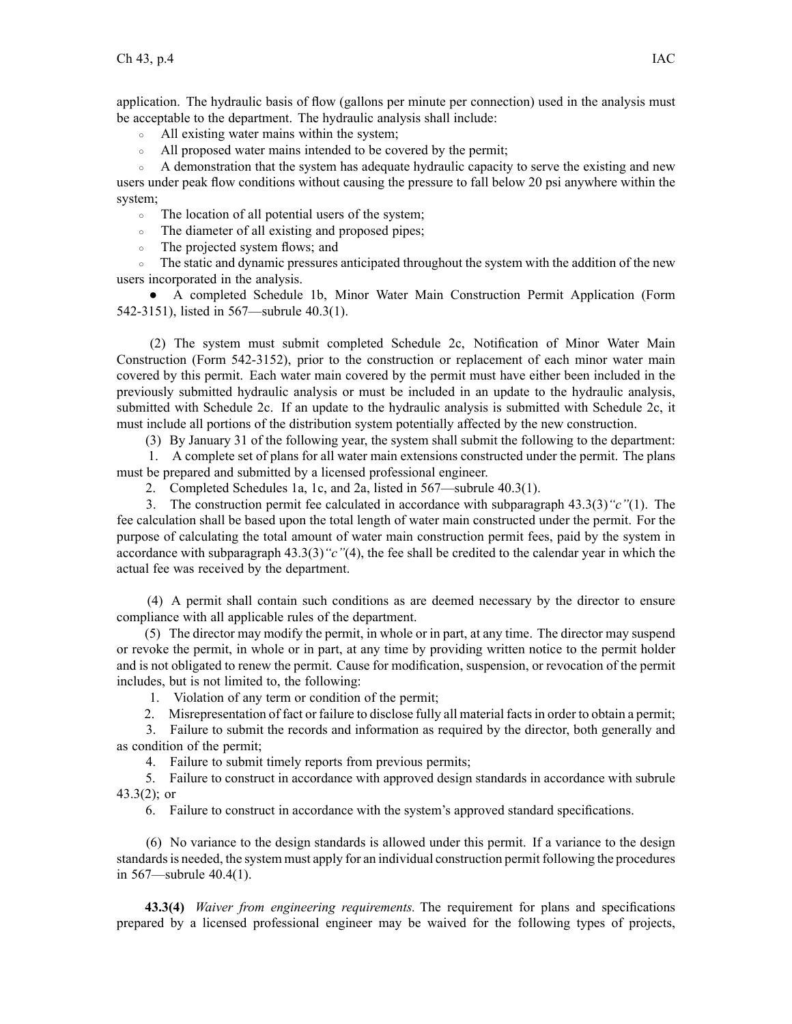application. The hydraulic basis of flow (gallons per minute per connection) used in the analysis must be acceptable to the department. The hydraulic analysis shall include:

- $\circ$ All existing water mains within the system;
- $\circ$ All proposed water mains intended to be covered by the permit;

 $\circ$  A demonstration that the system has adequate hydraulic capacity to serve the existing and new users under peak flow conditions without causing the pressure to fall below 20 psi anywhere within the system;

 $\circ$ The location of all potential users of the system;

 $\circ$ The diameter of all existing and proposed pipes;

 $\circ$ The projected system flows; and

• The static and dynamic pressures anticipated throughout the system with the addition of the new users incorporated in the analysis.

● A completed Schedule 1b, Minor Water Main Construction Permit Application (Form 542-3151), listed in 567—subrule 40.3(1).

(2) The system must submit completed Schedule 2c, Notification of Minor Water Main Construction (Form 542-3152), prior to the construction or replacement of each minor water main covered by this permit. Each water main covered by the permit must have either been included in the previously submitted hydraulic analysis or must be included in an update to the hydraulic analysis, submitted with Schedule 2c. If an update to the hydraulic analysis is submitted with Schedule 2c, it must include all portions of the distribution system potentially affected by the new construction.

(3) By January 31 of the following year, the system shall submit the following to the department:

1. A complete set of plans for all water main extensions constructed under the permit. The plans must be prepared and submitted by <sup>a</sup> licensed professional engineer.

2. Completed Schedules 1a, 1c, and 2a, listed in 567—subrule 40.3(1).

3. The construction permit fee calculated in accordance with subparagraph 43.3(3)*"c"*(1). The fee calculation shall be based upon the total length of water main constructed under the permit. For the purpose of calculating the total amount of water main construction permit fees, paid by the system in accordance with subparagraph 43.3(3)*"c"*(4), the fee shall be credited to the calendar year in which the actual fee was received by the department.

(4) A permit shall contain such conditions as are deemed necessary by the director to ensure compliance with all applicable rules of the department.

(5) The director may modify the permit, in whole or in part, at any time. The director may suspend or revoke the permit, in whole or in part, at any time by providing written notice to the permit holder and is not obligated to renew the permit. Cause for modification, suspension, or revocation of the permit includes, but is not limited to, the following:

1. Violation of any term or condition of the permit;

2. Misrepresentation of fact or failure to disclose fully all material factsin order to obtain <sup>a</sup> permit;

3. Failure to submit the records and information as required by the director, both generally and as condition of the permit;

4. Failure to submit timely reports from previous permits;

5. Failure to construct in accordance with approved design standards in accordance with subrule  $43.3(2)$ ; or

6. Failure to construct in accordance with the system's approved standard specifications.

(6) No variance to the design standards is allowed under this permit. If <sup>a</sup> variance to the design standardsis needed, the system must apply for an individual construction permit following the procedures in 567—subrule 40.4(1).

**43.3(4)** *Waiver from engineering requirements.* The requirement for plans and specifications prepared by <sup>a</sup> licensed professional engineer may be waived for the following types of projects,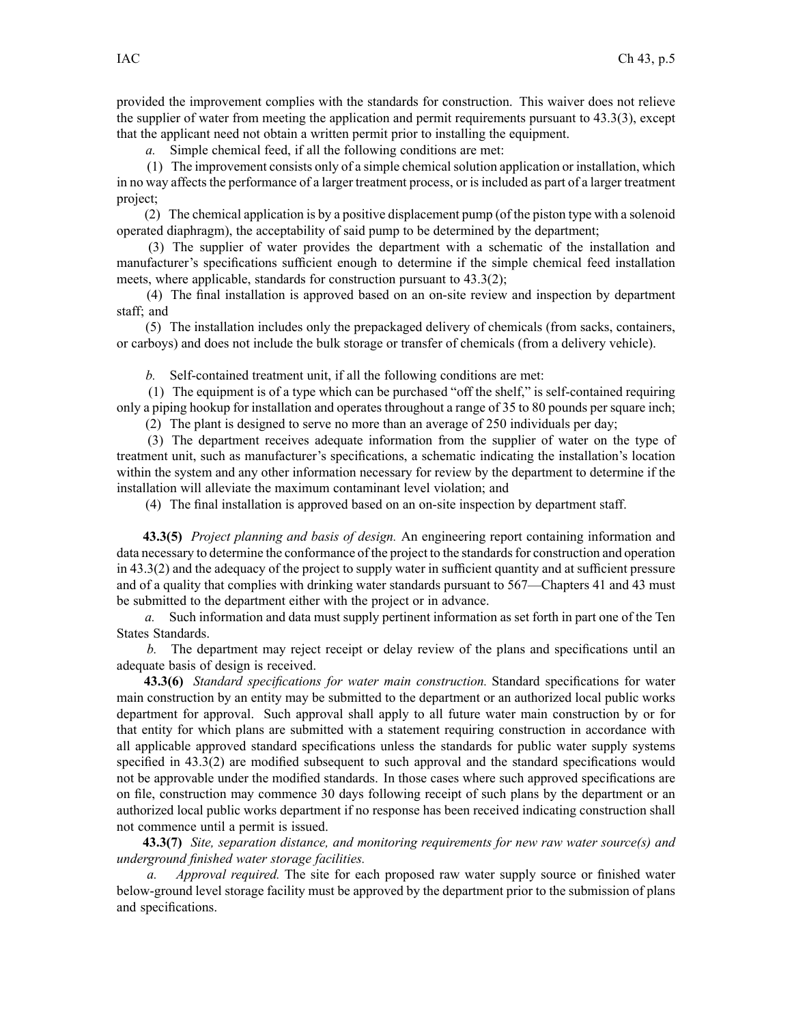provided the improvement complies with the standards for construction. This waiver does not relieve the supplier of water from meeting the application and permit requirements pursuan<sup>t</sup> to 43.3(3), excep<sup>t</sup> that the applicant need not obtain <sup>a</sup> written permit prior to installing the equipment.

*a.* Simple chemical feed, if all the following conditions are met:

 $(1)$  The improvement consists only of a simple chemical solution application or installation, which in no way affects the performance of a larger treatment process, or is included as part of a larger treatment project;

(2) The chemical application is by <sup>a</sup> positive displacement pump (of the piston type with <sup>a</sup> solenoid operated diaphragm), the acceptability of said pump to be determined by the department;

(3) The supplier of water provides the department with <sup>a</sup> schematic of the installation and manufacturer's specifications sufficient enough to determine if the simple chemical feed installation meets, where applicable, standards for construction pursuan<sup>t</sup> to 43.3(2);

(4) The final installation is approved based on an on-site review and inspection by department staff; and

(5) The installation includes only the prepackaged delivery of chemicals (from sacks, containers, or carboys) and does not include the bulk storage or transfer of chemicals (from <sup>a</sup> delivery vehicle).

*b.* Self-contained treatment unit, if all the following conditions are met:

(1) The equipment is of <sup>a</sup> type which can be purchased "off the shelf," is self-contained requiring only <sup>a</sup> piping hookup for installation and operates throughout <sup>a</sup> range of 35 to 80 pounds per square inch;

(2) The plant is designed to serve no more than an average of 250 individuals per day;

(3) The department receives adequate information from the supplier of water on the type of treatment unit, such as manufacturer's specifications, <sup>a</sup> schematic indicating the installation's location within the system and any other information necessary for review by the department to determine if the installation will alleviate the maximum contaminant level violation; and

(4) The final installation is approved based on an on-site inspection by department staff.

**43.3(5)** *Project planning and basis of design.* An engineering repor<sup>t</sup> containing information and data necessary to determine the conformance of the project to the standards for construction and operation in 43.3(2) and the adequacy of the project to supply water in sufficient quantity and at sufficient pressure and of <sup>a</sup> quality that complies with drinking water standards pursuan<sup>t</sup> to 567—Chapters 41 and 43 must be submitted to the department either with the project or in advance.

*a.* Such information and data must supply pertinent information as set forth in par<sup>t</sup> one of the Ten States Standards.

*b.* The department may reject receipt or delay review of the plans and specifications until an adequate basis of design is received.

**43.3(6)** *Standard specifications for water main construction.* Standard specifications for water main construction by an entity may be submitted to the department or an authorized local public works department for approval. Such approval shall apply to all future water main construction by or for that entity for which plans are submitted with <sup>a</sup> statement requiring construction in accordance with all applicable approved standard specifications unless the standards for public water supply systems specified in 43.3(2) are modified subsequent to such approval and the standard specifications would not be approvable under the modified standards. In those cases where such approved specifications are on file, construction may commence 30 days following receipt of such plans by the department or an authorized local public works department if no response has been received indicating construction shall not commence until <sup>a</sup> permit is issued.

**43.3(7)** *Site, separation distance, and monitoring requirements for new raw water source(s) and underground finished water storage facilities.*

*a. Approval required.* The site for each proposed raw water supply source or finished water below-ground level storage facility must be approved by the department prior to the submission of plans and specifications.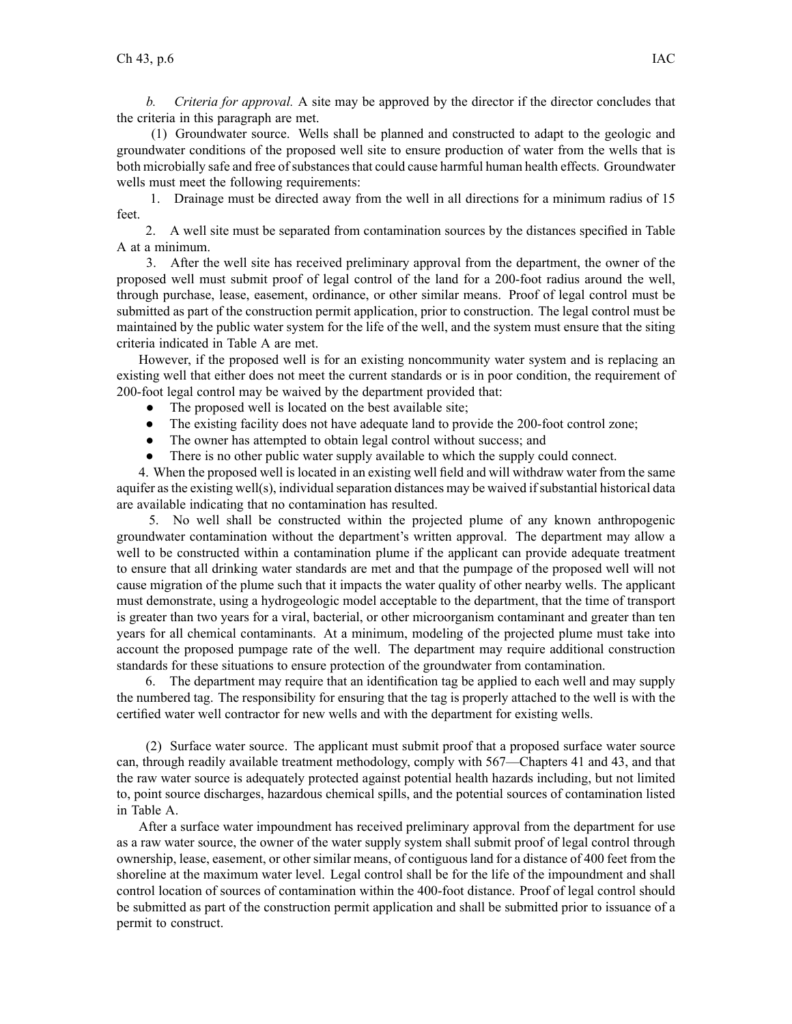*b. Criteria for approval.* A site may be approved by the director if the director concludes that the criteria in this paragraph are met.

(1) Groundwater source. Wells shall be planned and constructed to adapt to the geologic and groundwater conditions of the proposed well site to ensure production of water from the wells that is both microbially safe and free of substances that could cause harmful human health effects. Groundwater wells must meet the following requirements:

1. Drainage must be directed away from the well in all directions for <sup>a</sup> minimum radius of 15 feet.

2. A well site must be separated from contamination sources by the distances specified in Table A at <sup>a</sup> minimum.

3. After the well site has received preliminary approval from the department, the owner of the proposed well must submit proof of legal control of the land for <sup>a</sup> 200-foot radius around the well, through purchase, lease, easement, ordinance, or other similar means. Proof of legal control must be submitted as par<sup>t</sup> of the construction permit application, prior to construction. The legal control must be maintained by the public water system for the life of the well, and the system must ensure that the siting criteria indicated in Table A are met.

However, if the proposed well is for an existing noncommunity water system and is replacing an existing well that either does not meet the current standards or is in poor condition, the requirement of 200-foot legal control may be waived by the department provided that:

- ●The proposed well is located on the best available site;
- $\bullet$ The existing facility does not have adequate land to provide the 200-foot control zone;
- ●The owner has attempted to obtain legal control without success; and
- $\bullet$ There is no other public water supply available to which the supply could connect.

4. When the proposed well is located in an existing well field and will withdraw water from the same aquifer as the existing well(s), individual separation distances may be waived if substantial historical data are available indicating that no contamination has resulted.

5. No well shall be constructed within the projected plume of any known anthropogenic groundwater contamination without the department's written approval. The department may allow <sup>a</sup> well to be constructed within <sup>a</sup> contamination plume if the applicant can provide adequate treatment to ensure that all drinking water standards are met and that the pumpage of the proposed well will not cause migration of the plume such that it impacts the water quality of other nearby wells. The applicant must demonstrate, using <sup>a</sup> hydrogeologic model acceptable to the department, that the time of transport is greater than two years for <sup>a</sup> viral, bacterial, or other microorganism contaminant and greater than ten years for all chemical contaminants. At <sup>a</sup> minimum, modeling of the projected plume must take into account the proposed pumpage rate of the well. The department may require additional construction standards for these situations to ensure protection of the groundwater from contamination.

6. The department may require that an identification tag be applied to each well and may supply the numbered tag. The responsibility for ensuring that the tag is properly attached to the well is with the certified water well contractor for new wells and with the department for existing wells.

(2) Surface water source. The applicant must submit proof that <sup>a</sup> proposed surface water source can, through readily available treatment methodology, comply with 567—Chapters 41 and 43, and that the raw water source is adequately protected against potential health hazards including, but not limited to, point source discharges, hazardous chemical spills, and the potential sources of contamination listed in Table A.

After <sup>a</sup> surface water impoundment has received preliminary approval from the department for use as <sup>a</sup> raw water source, the owner of the water supply system shall submit proof of legal control through ownership, lease, easement, or other similar means, of contiguous land for <sup>a</sup> distance of 400 feet from the shoreline at the maximum water level. Legal control shall be for the life of the impoundment and shall control location of sources of contamination within the 400-foot distance. Proof of legal control should be submitted as par<sup>t</sup> of the construction permit application and shall be submitted prior to issuance of <sup>a</sup> permit to construct.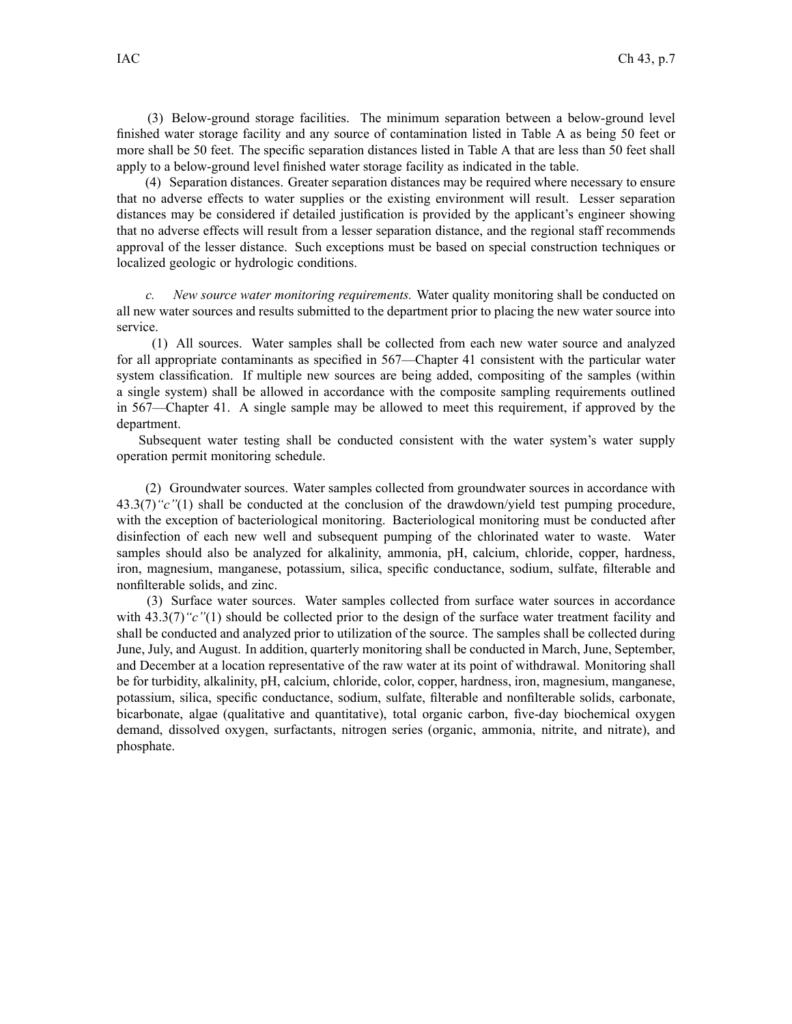(3) Below-ground storage facilities. The minimum separation between <sup>a</sup> below-ground level finished water storage facility and any source of contamination listed in Table A as being 50 feet or more shall be 50 feet. The specific separation distances listed in Table A that are less than 50 feet shall apply to <sup>a</sup> below-ground level finished water storage facility as indicated in the table.

(4) Separation distances. Greater separation distances may be required where necessary to ensure that no adverse effects to water supplies or the existing environment will result. Lesser separation distances may be considered if detailed justification is provided by the applicant's engineer showing that no adverse effects will result from <sup>a</sup> lesser separation distance, and the regional staff recommends approval of the lesser distance. Such exceptions must be based on special construction techniques or localized geologic or hydrologic conditions.

*c. New source water monitoring requirements.* Water quality monitoring shall be conducted on all new water sources and results submitted to the department prior to placing the new water source into service.

(1) All sources. Water samples shall be collected from each new water source and analyzed for all appropriate contaminants as specified in 567—Chapter 41 consistent with the particular water system classification. If multiple new sources are being added, compositing of the samples (within <sup>a</sup> single system) shall be allowed in accordance with the composite sampling requirements outlined in 567—Chapter 41. A single sample may be allowed to meet this requirement, if approved by the department.

Subsequent water testing shall be conducted consistent with the water system's water supply operation permit monitoring schedule.

(2) Groundwater sources. Water samples collected from groundwater sources in accordance with 43.3(7)*"c"*(1) shall be conducted at the conclusion of the drawdown/yield test pumping procedure, with the exception of bacteriological monitoring. Bacteriological monitoring must be conducted after disinfection of each new well and subsequent pumping of the chlorinated water to waste. Water samples should also be analyzed for alkalinity, ammonia, pH, calcium, chloride, copper, hardness, iron, magnesium, manganese, potassium, silica, specific conductance, sodium, sulfate, filterable and nonfilterable solids, and zinc.

(3) Surface water sources. Water samples collected from surface water sources in accordance with 43.3(7)<sup>"</sup>c"(1) should be collected prior to the design of the surface water treatment facility and shall be conducted and analyzed prior to utilization of the source. The samples shall be collected during June, July, and August. In addition, quarterly monitoring shall be conducted in March, June, September, and December at <sup>a</sup> location representative of the raw water at its point of withdrawal. Monitoring shall be for turbidity, alkalinity, pH, calcium, chloride, color, copper, hardness, iron, magnesium, manganese, potassium, silica, specific conductance, sodium, sulfate, filterable and nonfilterable solids, carbonate, bicarbonate, algae (qualitative and quantitative), total organic carbon, five-day biochemical oxygen demand, dissolved oxygen, surfactants, nitrogen series (organic, ammonia, nitrite, and nitrate), and phosphate.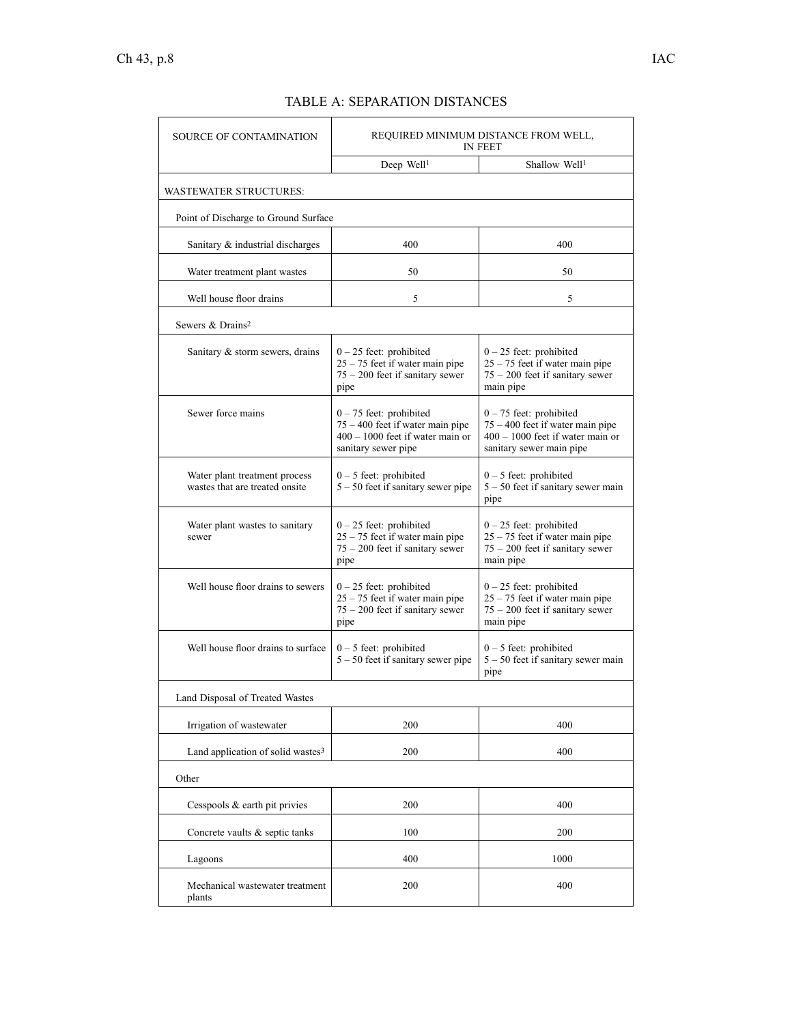| <b>SOURCE OF CONTAMINATION</b>                                  | REQUIRED MINIMUM DISTANCE FROM WELL,<br><b>IN FEET</b>                                                                       |                                                                                                                                   |  |
|-----------------------------------------------------------------|------------------------------------------------------------------------------------------------------------------------------|-----------------------------------------------------------------------------------------------------------------------------------|--|
|                                                                 | Deep Well <sup>1</sup>                                                                                                       | Shallow Well <sup>1</sup>                                                                                                         |  |
| <b>WASTEWATER STRUCTURES:</b>                                   |                                                                                                                              |                                                                                                                                   |  |
| Point of Discharge to Ground Surface                            |                                                                                                                              |                                                                                                                                   |  |
| Sanitary & industrial discharges                                | 400                                                                                                                          | 400                                                                                                                               |  |
| Water treatment plant wastes                                    | 50                                                                                                                           | 50                                                                                                                                |  |
| Well house floor drains                                         | 5                                                                                                                            | 5                                                                                                                                 |  |
| Sewers & Drains <sup>2</sup>                                    |                                                                                                                              |                                                                                                                                   |  |
| Sanitary & storm sewers, drains                                 | $0 - 25$ feet: prohibited<br>$25 - 75$ feet if water main pipe<br>$75 - 200$ feet if sanitary sewer<br>pipe                  | $0 - 25$ feet: prohibited<br>$25 - 75$ feet if water main pipe<br>$75 - 200$ feet if sanitary sewer<br>main pipe                  |  |
| Sewer force mains                                               | $0 - 75$ feet: prohibited<br>$75 - 400$ feet if water main pipe<br>$400 - 1000$ feet if water main or<br>sanitary sewer pipe | $0 - 75$ feet: prohibited<br>$75 - 400$ feet if water main pipe<br>$400 - 1000$ feet if water main or<br>sanitary sewer main pipe |  |
| Water plant treatment process<br>wastes that are treated onsite | $0 - 5$ feet: prohibited<br>$5 - 50$ feet if sanitary sewer pipe                                                             | $0 - 5$ feet: prohibited<br>$5 - 50$ feet if sanitary sewer main<br>pipe                                                          |  |
| Water plant wastes to sanitary<br>sewer                         | $0 - 25$ feet: prohibited<br>$25 - 75$ feet if water main pipe<br>$75 - 200$ feet if sanitary sewer<br>pipe                  | $0 - 25$ feet: prohibited<br>$25 - 75$ feet if water main pipe<br>$75 - 200$ feet if sanitary sewer<br>main pipe                  |  |
| Well house floor drains to sewers                               | $0 - 25$ feet: prohibited<br>$25 - 75$ feet if water main pipe<br>$75 - 200$ feet if sanitary sewer<br>pipe                  | $0 - 25$ feet: prohibited<br>$25 - 75$ feet if water main pipe<br>$75 - 200$ feet if sanitary sewer<br>main pipe                  |  |
| Well house floor drains to surface                              | $0 - 5$ feet: prohibited<br>$5 - 50$ feet if sanitary sewer pipe                                                             | $0 - 5$ feet: prohibited<br>$5 - 50$ feet if sanitary sewer main<br>pipe                                                          |  |
| Land Disposal of Treated Wastes                                 |                                                                                                                              |                                                                                                                                   |  |
| Irrigation of wastewater                                        | 200                                                                                                                          | 400                                                                                                                               |  |
| Land application of solid wastes <sup>3</sup>                   | 200                                                                                                                          | 400                                                                                                                               |  |
| Other                                                           |                                                                                                                              |                                                                                                                                   |  |
| Cesspools $\&$ earth pit privies                                | 200                                                                                                                          | 400                                                                                                                               |  |
| Concrete vaults & septic tanks                                  | 100                                                                                                                          | 200                                                                                                                               |  |
| Lagoons                                                         | 400                                                                                                                          | 1000                                                                                                                              |  |
| Mechanical wastewater treatment<br>plants                       | 200                                                                                                                          | 400                                                                                                                               |  |

# TABLE A: SEPARATION DISTANCES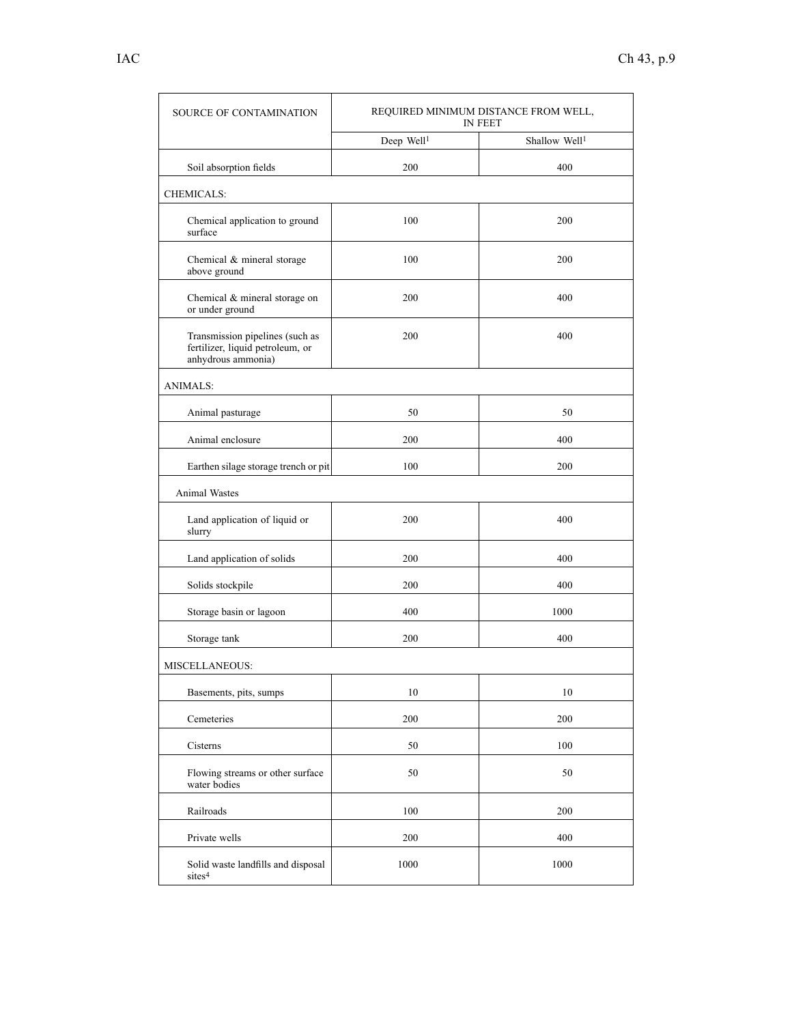| <b>SOURCE OF CONTAMINATION</b>                                                            | REQUIRED MINIMUM DISTANCE FROM WELL,<br>IN FEET |                           |
|-------------------------------------------------------------------------------------------|-------------------------------------------------|---------------------------|
|                                                                                           | Deep Well <sup>1</sup>                          | Shallow Well <sup>1</sup> |
| Soil absorption fields                                                                    | 200                                             | 400                       |
| <b>CHEMICALS:</b>                                                                         |                                                 |                           |
| Chemical application to ground<br>surface                                                 | 100                                             | 200                       |
| Chemical & mineral storage<br>above ground                                                | 100                                             | 200                       |
| Chemical & mineral storage on<br>or under ground                                          | 200                                             | 400                       |
| Transmission pipelines (such as<br>fertilizer, liquid petroleum, or<br>anhydrous ammonia) | 200                                             | 400                       |
| <b>ANIMALS:</b>                                                                           |                                                 |                           |
| Animal pasturage                                                                          | 50                                              | 50                        |
| Animal enclosure                                                                          | 200                                             | 400                       |
| Earthen silage storage trench or pit                                                      | 100                                             | 200                       |
| Animal Wastes                                                                             |                                                 |                           |
| Land application of liquid or<br>slurry                                                   | 200                                             | 400                       |
| Land application of solids                                                                | 200                                             | 400                       |
| Solids stockpile                                                                          | 200                                             | 400                       |
| Storage basin or lagoon                                                                   | 400                                             | 1000                      |
| Storage tank                                                                              | 200                                             | 400                       |
| <b>MISCELLANEOUS:</b>                                                                     |                                                 |                           |
| Basements, pits, sumps                                                                    | $10\,$                                          | 10                        |
| Cemeteries                                                                                | 200                                             | 200                       |
| Cisterns                                                                                  | 50                                              | 100                       |
| Flowing streams or other surface<br>water bodies                                          | 50                                              | 50                        |
| Railroads                                                                                 | 100                                             | 200                       |
| Private wells                                                                             | 200                                             | 400                       |
| Solid waste landfills and disposal<br>sites <sup>4</sup>                                  | 1000                                            | 1000                      |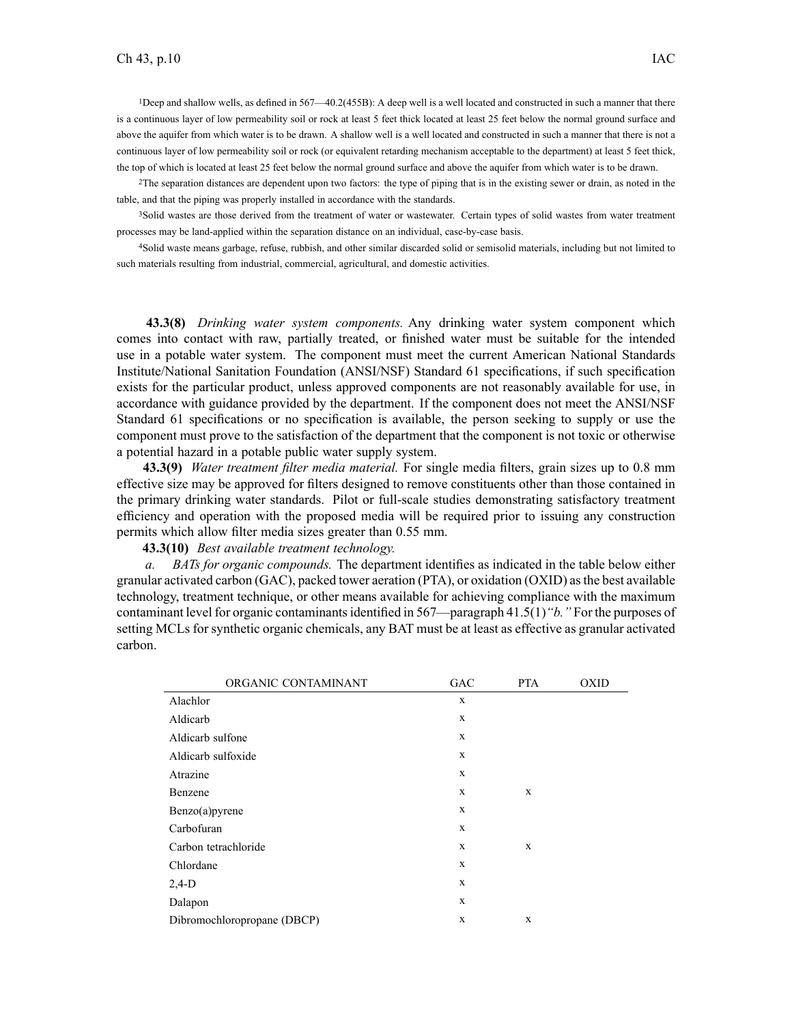<sup>1</sup>Deep and shallow wells, as defined in 567—40.2(455B): Adeep well is <sup>a</sup> well located and constructed in such <sup>a</sup> manner that there is <sup>a</sup> continuous layer of low permeability soil or rock at least 5 feet thick located at least 25 feet below the normal ground surface and above the aquifer from which water is to be drawn. A shallow well is <sup>a</sup> well located and constructed in such <sup>a</sup> manner that there is not <sup>a</sup> continuous layer of low permeability soil or rock (or equivalent retarding mechanism acceptable to the department) at least 5 feet thick, the top of which is located at least 25 feet below the normal ground surface and above the aquifer from which water is to be drawn.

<sup>2</sup>The separation distances are dependent upon two factors: the type of piping that is in the existing sewer or drain, as noted in the table, and that the piping was properly installed in accordance with the standards.

<sup>3</sup>Solid wastes are those derived from the treatment of water or wastewater. Certain types of solid wastes from water treatment processes may be land-applied within the separation distance on an individual, case-by-case basis.

<sup>4</sup>Solid waste means garbage, refuse, rubbish, and other similar discarded solid or semisolid materials, including but not limited to such materials resulting from industrial, commercial, agricultural, and domestic activities.

**43.3(8)** *Drinking water system components.* Any drinking water system componen<sup>t</sup> which comes into contact with raw, partially treated, or finished water must be suitable for the intended use in <sup>a</sup> potable water system. The componen<sup>t</sup> must meet the current American National Standards Institute/National Sanitation Foundation (ANSI/NSF) Standard 61 specifications, if such specification exists for the particular product, unless approved components are not reasonably available for use, in accordance with guidance provided by the department. If the componen<sup>t</sup> does not meet the ANSI/NSF Standard 61 specifications or no specification is available, the person seeking to supply or use the componen<sup>t</sup> must prove to the satisfaction of the department that the componen<sup>t</sup> is not toxic or otherwise <sup>a</sup> potential hazard in <sup>a</sup> potable public water supply system.

**43.3(9)** *Water treatment filter media material.* For single media filters, grain sizes up to 0.8 mm effective size may be approved for filters designed to remove constituents other than those contained in the primary drinking water standards. Pilot or full-scale studies demonstrating satisfactory treatment efficiency and operation with the proposed media will be required prior to issuing any construction permits which allow filter media sizes greater than 0.55 mm.

#### **43.3(10)** *Best available treatment technology.*

*a. BATs for organic compounds.* The department identifies as indicated in the table below either granular activated carbon (GAC), packed tower aeration (PTA), or oxidation (OXID) asthe best available technology, treatment technique, or other means available for achieving compliance with the maximum contaminant level for organic contaminantsidentified in 567—paragraph 41.5(1)*"b."* For the purposes of setting MCLs for synthetic organic chemicals, any BAT must be at least as effective as granular activated carbon.

| ORGANIC CONTAMINANT         | <b>GAC</b> | <b>PTA</b> | <b>OXID</b> |
|-----------------------------|------------|------------|-------------|
| Alachlor                    | X          |            |             |
| Aldicarb                    | X          |            |             |
| Aldicarb sulfone            | X          |            |             |
| Aldicarb sulfoxide          | X          |            |             |
| Atrazine                    | X          |            |             |
| Benzene                     | X          | X          |             |
| Benzo(a)pyrene              | X          |            |             |
| Carbofuran                  | X          |            |             |
| Carbon tetrachloride        | X          | X          |             |
| Chlordane                   | X          |            |             |
| $2,4-D$                     | X          |            |             |
| Dalapon                     | X          |            |             |
| Dibromochloropropane (DBCP) | X          | X          |             |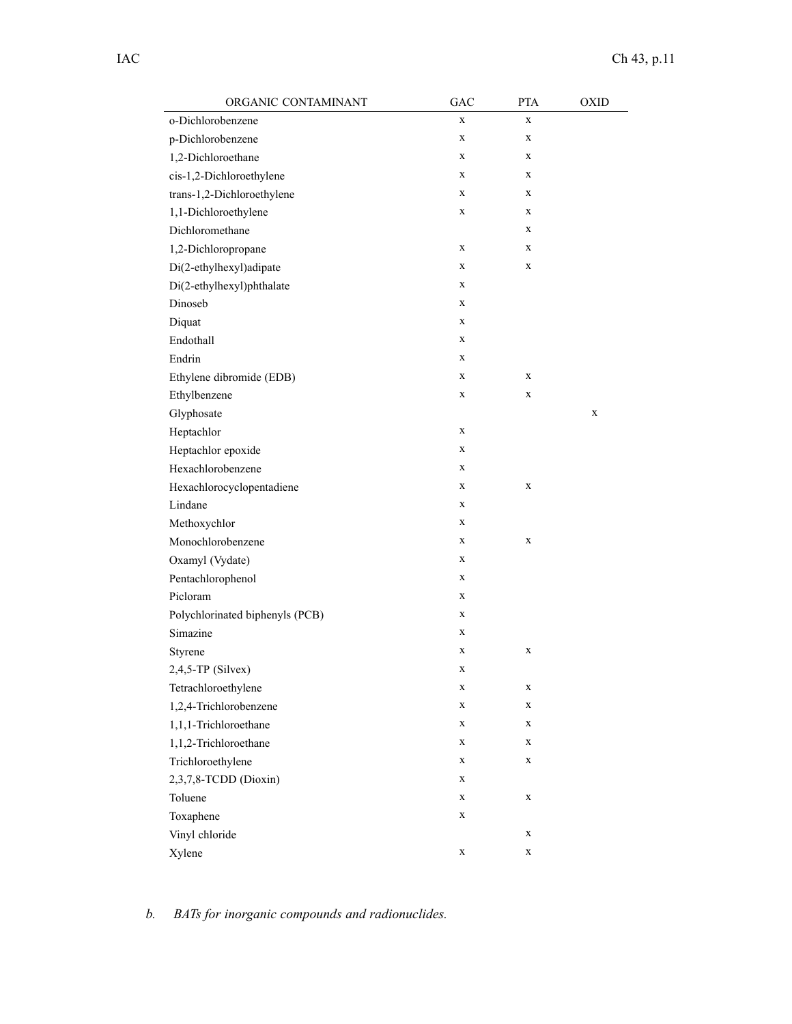| ORGANIC CONTAMINANT             | GAC         | <b>PTA</b>  | <b>OXID</b> |
|---------------------------------|-------------|-------------|-------------|
| o-Dichlorobenzene               | $\mathbf X$ | X           |             |
| p-Dichlorobenzene               | X           | X           |             |
| 1,2-Dichloroethane              | X           | X           |             |
| cis-1,2-Dichloroethylene        | X           | $\mathbf X$ |             |
| trans-1,2-Dichloroethylene      | X           | $\mathbf X$ |             |
| 1,1-Dichloroethylene            | X           | X           |             |
| Dichloromethane                 |             | X           |             |
| 1,2-Dichloropropane             | X           | X           |             |
| Di(2-ethylhexyl)adipate         | X           | X           |             |
| Di(2-ethylhexyl)phthalate       | X           |             |             |
| Dinoseb                         | X           |             |             |
| Diquat                          | X           |             |             |
| Endothall                       | X           |             |             |
| Endrin                          | X           |             |             |
| Ethylene dibromide (EDB)        | X           | $\mathbf X$ |             |
| Ethylbenzene                    | X           | X           |             |
| Glyphosate                      |             |             | X           |
| Heptachlor                      | X           |             |             |
| Heptachlor epoxide              | X           |             |             |
| Hexachlorobenzene               | X           |             |             |
| Hexachlorocyclopentadiene       | X           | X           |             |
| Lindane                         | X           |             |             |
| Methoxychlor                    | X           |             |             |
| Monochlorobenzene               | X           | X           |             |
| Oxamyl (Vydate)                 | X           |             |             |
| Pentachlorophenol               | X           |             |             |
| Picloram                        | X           |             |             |
| Polychlorinated biphenyls (PCB) | X           |             |             |
| Simazine                        | X           |             |             |
| Styrene                         | X           | X           |             |
| $2,4,5$ -TP (Silvex)            | X           |             |             |
| Tetrachloroethylene             | X           | X           |             |
| 1,2,4-Trichlorobenzene          | X           | X           |             |
| 1,1,1-Trichloroethane           | X           | X           |             |
| 1,1,2-Trichloroethane           | X           | X           |             |
| Trichloroethylene               | X           | X           |             |
| 2,3,7,8-TCDD (Dioxin)           | X           |             |             |
| Toluene                         | X           | X           |             |
| Toxaphene                       | $\mathbf X$ |             |             |
| Vinyl chloride                  |             | X           |             |
| Xylene                          | $\mathbf X$ | X           |             |

*b. BATs for inorganic compounds and radionuclides.*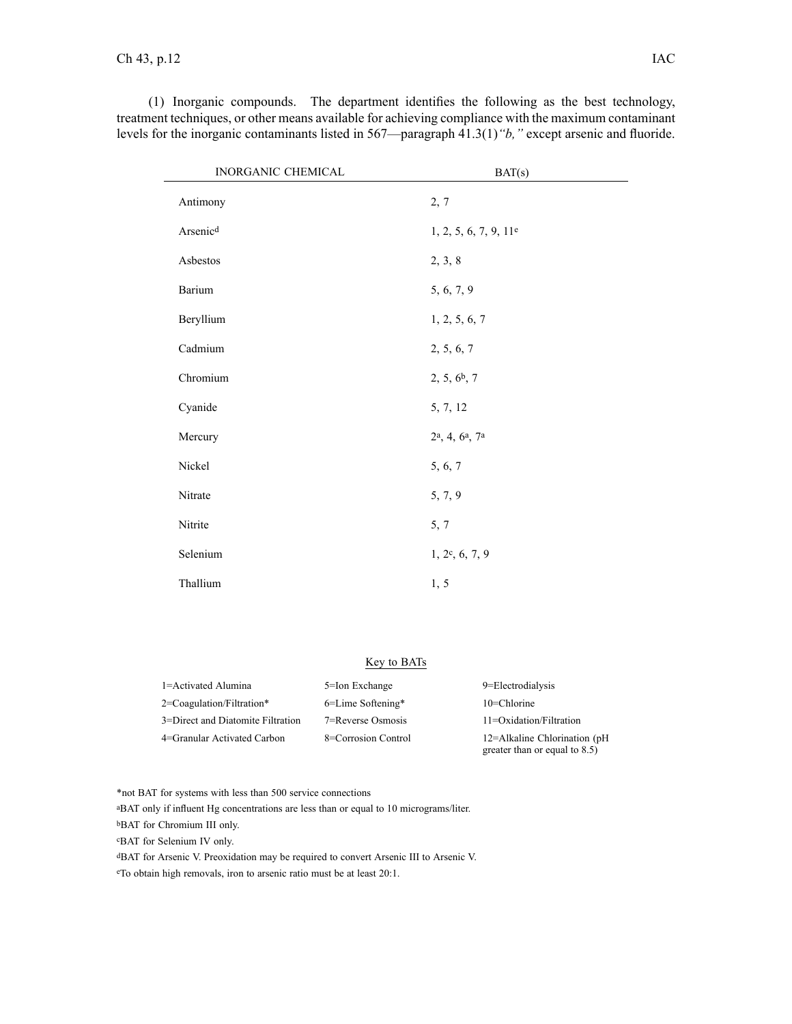| <b>INORGANIC CHEMICAL</b> | BAT(s)                   |  |
|---------------------------|--------------------------|--|
| Antimony                  | 2, 7                     |  |
| Arsenicd                  | 1, 2, 5, 6, 7, 9, 11e    |  |
| Asbestos                  | 2, 3, 8                  |  |
| Barium                    | 5, 6, 7, 9               |  |
| Beryllium                 | 1, 2, 5, 6, 7            |  |
| Cadmium                   | 2, 5, 6, 7               |  |
| Chromium                  | 2, 5, 6 <sup>b</sup> , 7 |  |
| Cyanide                   | 5, 7, 12                 |  |

, 4, 6<sup>a</sup> , 7<sup>a</sup>

 $1, 2c, 6, 7, 9$ 

(1) Inorganic compounds. The department identifies the following as the best technology, treatment techniques, or other means available for achieving compliance with the maximum contaminant levels for the inorganic contaminants listed in 567—paragraph 41.3(1)*"b,"* excep<sup>t</sup> arsenic and fluoride.

### Key to BATs

| 1=Activated Alumina               | 5=Ion Exchange       | 9=Electrodialysis                                                |
|-----------------------------------|----------------------|------------------------------------------------------------------|
| $2$ =Coagulation/Filtration*      | $6$ =Lime Softening* | $10$ =Chlorine                                                   |
| 3=Direct and Diatomite Filtration | 7=Reverse Osmosis    | $11 = Oxidation/Filtration$                                      |
| 4=Granular Activated Carbon       | 8=Corrosion Control  | 12=Alkaline Chlorination $(pH)$<br>greater than or equal to 8.5) |

\*not BAT for systems with less than 500 service connections

<sup>a</sup>BAT only if influent Hg concentrations are less than or equal to 10 micrograms/liter.

Nickel 5, 6, 7

Nitrate 5, 7, 9

Nitrite 5, 7

Thallium 1, 5

<sup>b</sup>BAT for Chromium III only.

Mercury

Selenium

<sup>c</sup>BAT for Selenium IV only.

<sup>d</sup>BAT for Arsenic V. Preoxidation may be required to convert Arsenic III to Arsenic V.

<sup>e</sup>To obtain high removals, iron to arsenic ratio must be at least 20:1.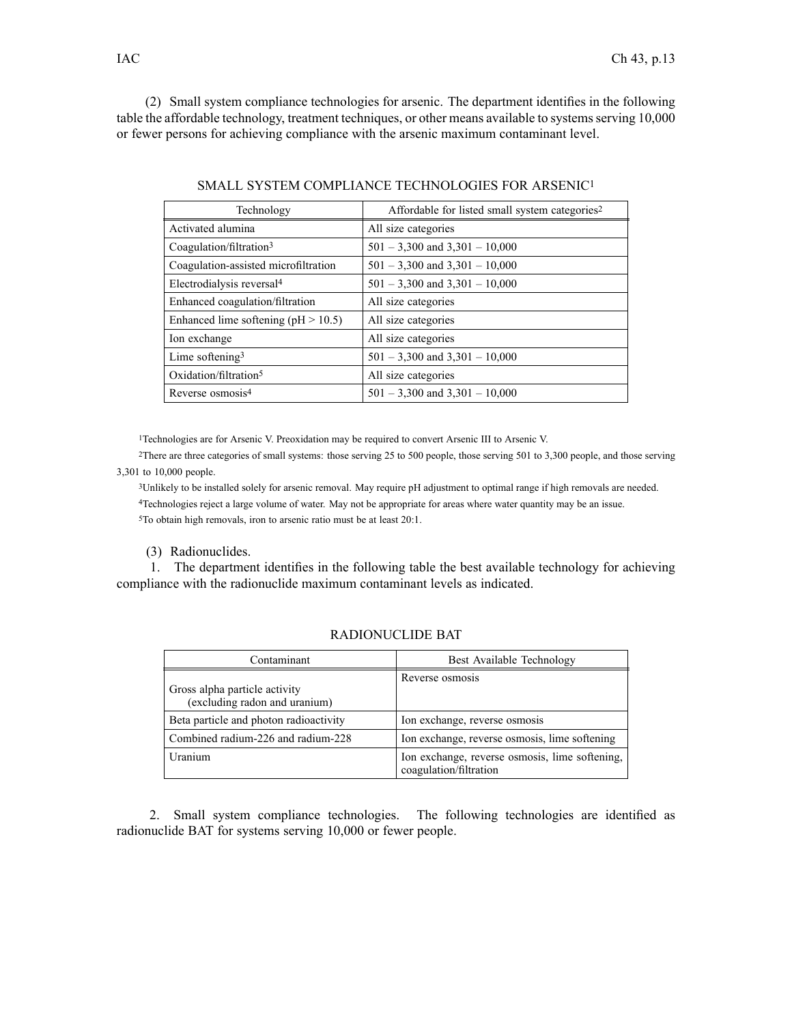(2) Small system compliance technologies for arsenic. The department identifies in the following table the affordable technology, treatment techniques, or other means available to systems serving 10,000 or fewer persons for achieving compliance with the arsenic maximum contaminant level.

| Technology                              | Affordable for listed small system categories <sup>2</sup> |
|-----------------------------------------|------------------------------------------------------------|
| Activated alumina                       | All size categories                                        |
| Coagulation/filtration3                 | $501 - 3,300$ and $3,301 - 10,000$                         |
| Coagulation-assisted microfiltration    | $501 - 3,300$ and $3,301 - 10,000$                         |
| Electrodialysis reversal <sup>4</sup>   | $501 - 3,300$ and $3,301 - 10,000$                         |
| Enhanced coagulation/filtration         | All size categories                                        |
| Enhanced lime softening ( $pH > 10.5$ ) | All size categories                                        |
| Ion exchange                            | All size categories                                        |
| Lime softening $3$                      | $501 - 3,300$ and $3,301 - 10,000$                         |
| Oxidation/filtration $5$                | All size categories                                        |
| Reverse osmosis <sup>4</sup>            | $501 - 3,300$ and $3,301 - 10,000$                         |

SMALL SYSTEM COMPLIANCE TECHNOLOGIES FOR ARSENIC<sup>1</sup>

<sup>1</sup>Technologies are for Arsenic V. Preoxidation may be required to convert Arsenic III to Arsenic V.

<sup>2</sup>There are three categories of small systems: those serving 25 to 500 people, those serving 501 to 3,300 people, and those serving 3,301 to 10,000 people.

<sup>3</sup>Unlikely to be installed solely for arsenic removal. May require pH adjustment to optimal range if high removals are needed.

<sup>4</sup>Technologies reject <sup>a</sup> large volume of water. May not be appropriate for areas where water quantity may be an issue.

<sup>5</sup>To obtain high removals, iron to arsenic ratio must be at least 20:1.

(3) Radionuclides.

1. The department identifies in the following table the best available technology for achieving compliance with the radionuclide maximum contaminant levels as indicated.

| Contaminant                                                    | Best Available Technology                                                |
|----------------------------------------------------------------|--------------------------------------------------------------------------|
| Gross alpha particle activity<br>(excluding radon and uranium) | Reverse osmosis                                                          |
| Beta particle and photon radioactivity                         | Ion exchange, reverse osmosis                                            |
| Combined radium-226 and radium-228                             | Ion exchange, reverse osmosis, lime softening                            |
| Uranium                                                        | Ion exchange, reverse osmosis, lime softening,<br>coagulation/filtration |

## RADIONUCLIDE BAT

2. Small system compliance technologies. The following technologies are identified as radionuclide BAT for systems serving 10,000 or fewer people.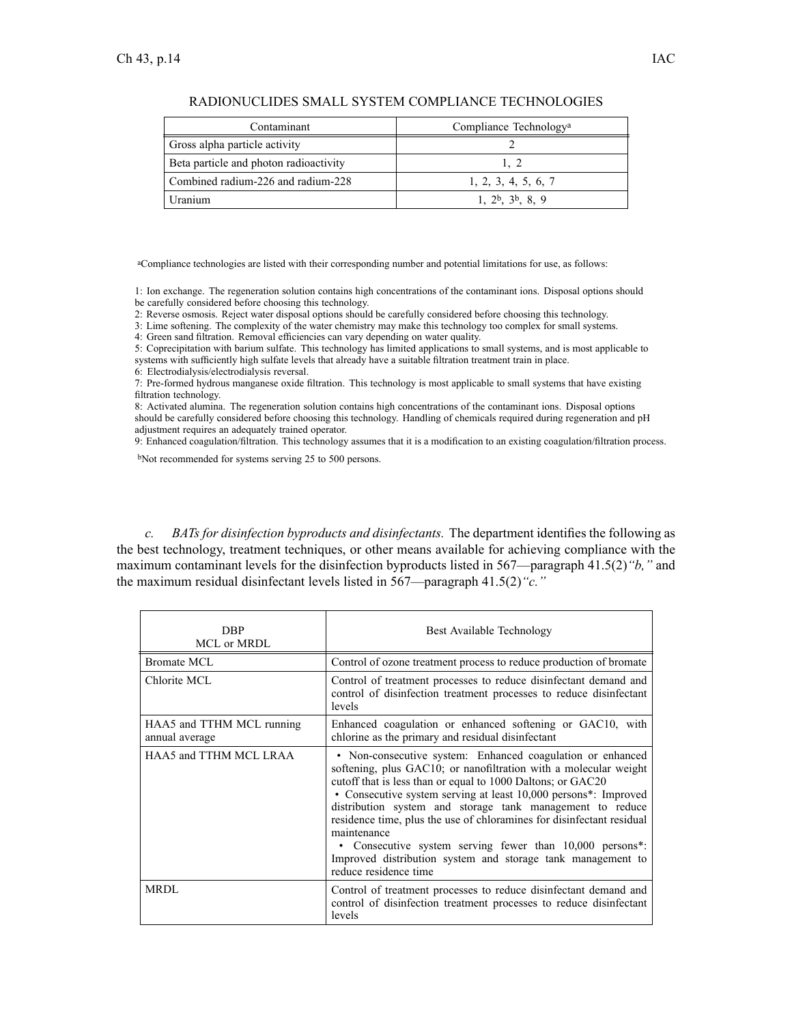|  |  | - L |
|--|--|-----|
|  |  |     |
|  |  |     |
|  |  |     |

| Contaminant                            | Compliance Technology <sup>a</sup> |
|----------------------------------------|------------------------------------|
| Gross alpha particle activity          |                                    |
| Beta particle and photon radioactivity | 1. 2                               |
| Combined radium-226 and radium-228     | 1, 2, 3, 4, 5, 6, 7                |
| Uranium                                | $1, 2^b, 3^b, 8, 9$                |

RADIONUCLIDES SMALL SYSTEM COMPLIANCE TECHNOLOGIES

<sup>a</sup>Compliance technologies are listed with their corresponding number and potential limitations for use, as follows:

1: Ion exchange. The regeneration solution contains high concentrations of the contaminant ions. Disposal options should be carefully considered before choosing this technology.

2: Reverse osmosis. Reject water disposal options should be carefully considered before choosing this technology.

3: Lime softening. The complexity of the water chemistry may make this technology too complex for small systems.

4: Green sand filtration. Removal efficiencies can vary depending on water quality.

5: Coprecipitation with barium sulfate. This technology has limited applications to small systems, and is most applicable to systems with sufficiently high sulfate levels that already have <sup>a</sup> suitable filtration treatment train in place.

6: Electrodialysis/electrodialysis reversal.

7: Pre-formed hydrous manganese oxide filtration. This technology is most applicable to small systems that have existing filtration technology.

8: Activated alumina. The regeneration solution contains high concentrations of the contaminant ions. Disposal options should be carefully considered before choosing this technology. Handling of chemicals required during regeneration and pH adjustment requires an adequately trained operator.

9: Enhanced coagulation/filtration. This technology assumes that it is <sup>a</sup> modification to an existing coagulation/filtration process.

<sup>b</sup>Not recommended for systems serving 25 to 500 persons.

*c. BATs for disinfection byproducts and disinfectants.* The department identifies the following as the best technology, treatment techniques, or other means available for achieving compliance with the maximum contaminant levels for the disinfection byproducts listed in 567—paragraph 41.5(2)*"b,"* and the maximum residual disinfectant levels listed in 567—paragraph 41.5(2)*"c."*

| DBP<br>MCL or MRDL                          | Best Available Technology                                                                                                                                                                                                                                                                                                                                                                                                                                                                                                                                                 |
|---------------------------------------------|---------------------------------------------------------------------------------------------------------------------------------------------------------------------------------------------------------------------------------------------------------------------------------------------------------------------------------------------------------------------------------------------------------------------------------------------------------------------------------------------------------------------------------------------------------------------------|
| Bromate MCL                                 | Control of ozone treatment process to reduce production of bromate                                                                                                                                                                                                                                                                                                                                                                                                                                                                                                        |
| Chlorite MCL                                | Control of treatment processes to reduce disinfectant demand and<br>control of disinfection treatment processes to reduce disinfectant<br>levels                                                                                                                                                                                                                                                                                                                                                                                                                          |
| HAA5 and TTHM MCL running<br>annual average | Enhanced coagulation or enhanced softening or GAC10, with<br>chlorine as the primary and residual disinfectant                                                                                                                                                                                                                                                                                                                                                                                                                                                            |
| HAA5 and TTHM MCL LRAA                      | • Non-consecutive system: Enhanced coagulation or enhanced<br>softening, plus GAC10; or nanofiltration with a molecular weight<br>cutoff that is less than or equal to 1000 Daltons; or GAC20<br>• Consecutive system serving at least 10,000 persons*: Improved<br>distribution system and storage tank management to reduce<br>residence time, plus the use of chloramines for disinfectant residual<br>maintenance<br>• Consecutive system serving fewer than 10,000 persons*:<br>Improved distribution system and storage tank management to<br>reduce residence time |
| <b>MRDL</b>                                 | Control of treatment processes to reduce disinfectant demand and<br>control of disinfection treatment processes to reduce disinfectant<br>levels                                                                                                                                                                                                                                                                                                                                                                                                                          |